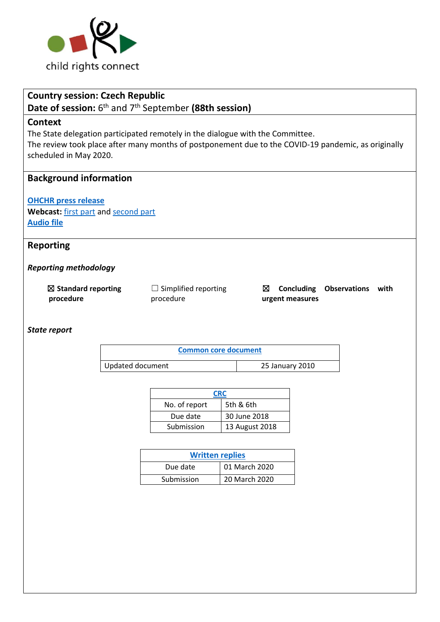

# **Country session: Czech Republic**

# Date of session: 6<sup>th</sup> and 7<sup>th</sup> September (88th session)

### **Context**

The State delegation participated remotely in the dialogue with the Committee.

The review took place after many months of postponement due to the COVID-19 pandemic, as originally scheduled in May 2020.

# **Background information**

**[OHCHR press release](https://www.ohchr.org/EN/NewsEvents/Pages/DisplayNews.aspx?NewsID=27436&LangID=E)** Webcast: [first part](https://media.un.org/en/asset/k19/k19r84bx2f) an[d second part](https://media.un.org/en/asset/k1d/k1dk5t63h9) **[Audio file](https://conf.unog.ch/digitalrecordings/index.html?guid=public/61.0060/5E0DFE9A-63B6-4E62-AC94-0F136C4242F1_10h04&position=0)**

### **Reporting**

*Reporting methodology*

☒ **Standard reporting procedure**

 $\Box$  Simplified reporting procedure

☒ **Concluding Observations with urgent measures**

*State report*

| Common core document |                 |
|----------------------|-----------------|
| Updated document     | 25 January 2010 |

|               | <b>CRC</b>     |  |  |
|---------------|----------------|--|--|
| No. of report | 5th & 6th      |  |  |
| Due date      | 30 June 2018   |  |  |
| Submission    | 13 August 2018 |  |  |

| <b>Written replies</b> |               |  |  |
|------------------------|---------------|--|--|
| Due date               | 01 March 2020 |  |  |
| Submission             | 20 March 2020 |  |  |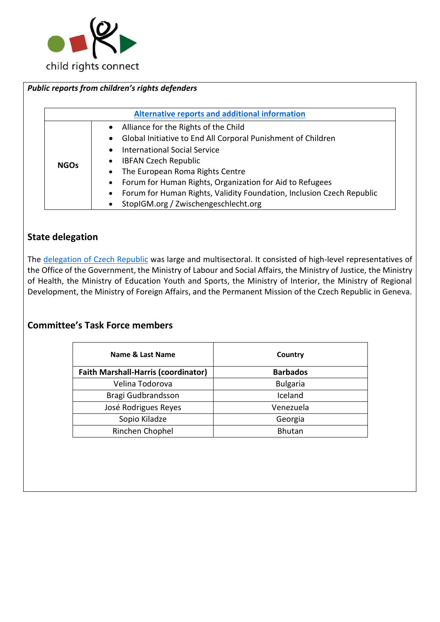

### *Public reports from children's rights defenders* **[Alternative reports and additional information](https://tbinternet.ohchr.org/_layouts/15/TreatyBodyExternal/Countries.aspx?CountryCode=CZE&Lang=EN) NGOs** • Alliance for the Rights of the Child • Global Initiative to End All Corporal Punishment of Children • International Social Service • IBFAN Czech Republic • The European Roma Rights Centre • Forum for Human Rights, Organization for Aid to Refugees • Forum for Human Rights, Validity Foundation, Inclusion Czech Republic • StopIGM.org / Zwischengeschlecht.org

# **State delegation**

The [delegation of Czech Republic](https://tbinternet.ohchr.org/Treaties/CRC/Shared%20Documents/CZE/INT_CRC_LOP_CZE_46599_E.pdf) was large and multisectoral. It consisted of high-level representatives of the Office of the Government, the Ministry of Labour and Social Affairs, the Ministry of Justice, the Ministry of Health, the Ministry of Education Youth and Sports, the Ministry of Interior, the Ministry of Regional Development, the Ministry of Foreign Affairs, and the Permanent Mission of the Czech Republic in Geneva.

# **Committee's Task Force members**

| Name & Last Name                           | Country         |
|--------------------------------------------|-----------------|
| <b>Faith Marshall-Harris (coordinator)</b> | <b>Barbados</b> |
| Velina Todorova                            | <b>Bulgaria</b> |
| Bragi Gudbrandsson                         | Iceland         |
| José Rodrigues Reyes                       | Venezuela       |
| Sopio Kiladze                              | Georgia         |
| Rinchen Chophel                            | <b>Bhutan</b>   |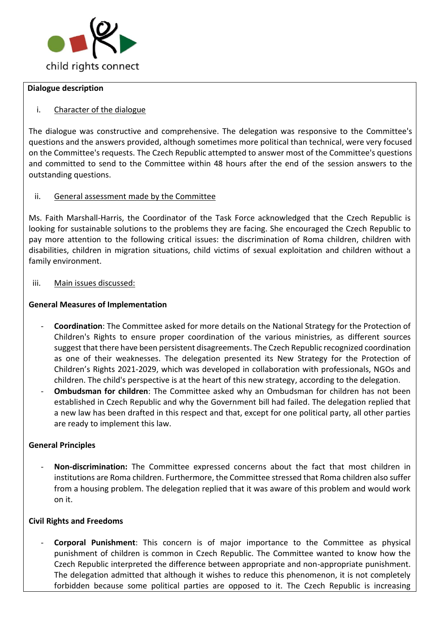

#### **Dialogue description**

#### i. Character of the dialogue

The dialogue was constructive and comprehensive. The delegation was responsive to the Committee's questions and the answers provided, although sometimes more political than technical, were very focused on the Committee's requests. The Czech Republic attempted to answer most of the Committee's questions and committed to send to the Committee within 48 hours after the end of the session answers to the outstanding questions.

#### ii. General assessment made by the Committee

Ms. Faith Marshall-Harris, the Coordinator of the Task Force acknowledged that the Czech Republic is looking for sustainable solutions to the problems they are facing. She encouraged the Czech Republic to pay more attention to the following critical issues: the discrimination of Roma children, children with disabilities, children in migration situations, child victims of sexual exploitation and children without a family environment.

#### iii. Main issues discussed:

#### **General Measures of Implementation**

- **Coordination**: The Committee asked for more details on the National Strategy for the Protection of Children's Rights to ensure proper coordination of the various ministries, as different sources suggest that there have been persistent disagreements. The Czech Republic recognized coordination as one of their weaknesses. The delegation presented its New Strategy for the Protection of Children's Rights 2021-2029, which was developed in collaboration with professionals, NGOs and children. The child's perspective is at the heart of this new strategy, according to the delegation.
- **Ombudsman for children**: The Committee asked why an Ombudsman for children has not been established in Czech Republic and why the Government bill had failed. The delegation replied that a new law has been drafted in this respect and that, except for one political party, all other parties are ready to implement this law.

#### **General Principles**

- **Non-discrimination:** The Committee expressed concerns about the fact that most children in institutions are Roma children. Furthermore, the Committee stressed that Roma children also suffer from a housing problem. The delegation replied that it was aware of this problem and would work on it.

#### **Civil Rights and Freedoms**

- **Corporal Punishment**: This concern is of major importance to the Committee as physical punishment of children is common in Czech Republic. The Committee wanted to know how the Czech Republic interpreted the difference between appropriate and non-appropriate punishment. The delegation admitted that although it wishes to reduce this phenomenon, it is not completely forbidden because some political parties are opposed to it. The Czech Republic is increasing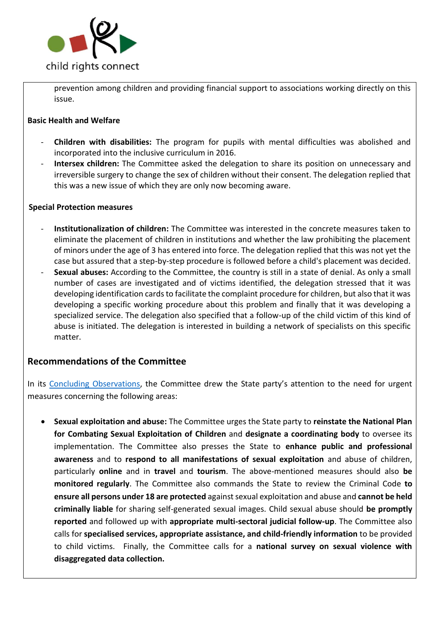

prevention among children and providing financial support to associations working directly on this issue.

#### **Basic Health and Welfare**

- **Children with disabilities:** The program for pupils with mental difficulties was abolished and incorporated into the inclusive curriculum in 2016.
- **Intersex children:** The Committee asked the delegation to share its position on unnecessary and irreversible surgery to change the sex of children without their consent. The delegation replied that this was a new issue of which they are only now becoming aware.

#### **Special Protection measures**

- **Institutionalization of children:** The Committee was interested in the concrete measures taken to eliminate the placement of children in institutions and whether the law prohibiting the placement of minors under the age of 3 has entered into force. The delegation replied that this was not yet the case but assured that a step-by-step procedure is followed before a child's placement was decided.
- Sexual abuses: According to the Committee, the country is still in a state of denial. As only a small number of cases are investigated and of victims identified, the delegation stressed that it was developing identification cards to facilitate the complaint procedure for children, but also that it was developing a specific working procedure about this problem and finally that it was developing a specialized service. The delegation also specified that a follow-up of the child victim of this kind of abuse is initiated. The delegation is interested in building a network of specialists on this specific matter.

### **Recommendations of the Committee**

In its [Concluding Observations,](https://tbinternet.ohchr.org/_layouts/15/treatybodyexternal/Download.aspx?symbolno=CRC%2fC%2fCZE%2fCO%2f5-6&Lang=en) the Committee drew the State party's attention to the need for urgent measures concerning the following areas:

• **Sexual exploitation and abuse:** The Committee urges the State party to **reinstate the National Plan for Combating Sexual Exploitation of Children** and **designate a coordinating body** to oversee its implementation. The Committee also presses the State to **enhance public and professional awareness** and to **respond to all manifestations of sexual exploitation** and abuse of children, particularly **online** and in **travel** and **tourism**. The above-mentioned measures should also **be monitored regularly**. The Committee also commands the State to review the Criminal Code **to ensure all persons under 18 are protected** against sexual exploitation and abuse and **cannot be held criminally liable** for sharing self-generated sexual images. Child sexual abuse should **be promptly reported** and followed up with **appropriate multi-sectoral judicial follow-up**. The Committee also calls for **specialised services, appropriate assistance, and child-friendly information** to be provided to child victims. Finally, the Committee calls for a **national survey on sexual violence with disaggregated data collection.**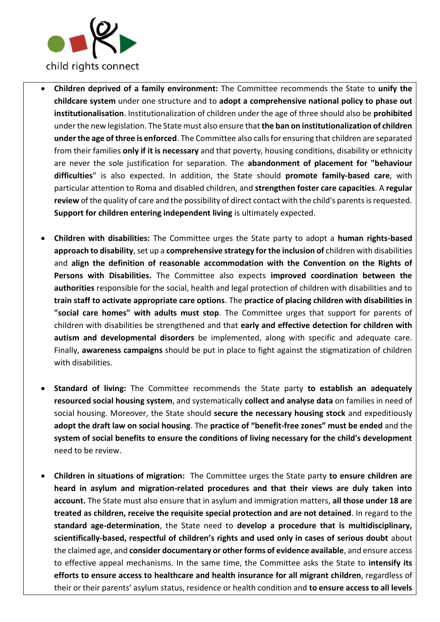

- **Children deprived of a family environment:** The Committee recommends the State to **unify the childcare system** under one structure and to **adopt a comprehensive national policy to phase out institutionalisation**. Institutionalization of children under the age of three should also be **prohibited** under the new legislation. The State must also ensure that **the ban on institutionalization of children under the age of three is enforced**. The Committee also calls for ensuring that children are separated from their families **only if it is necessary** and that poverty, housing conditions, disability or ethnicity are never the sole justification for separation. The **abandonment of placement for "behaviour difficulties**" is also expected. In addition, the State should **promote family-based care**, with particular attention to Roma and disabled children, and **strengthen foster care capacities**. A **regular review** of the quality of care and the possibility of direct contact with the child's parents is requested. **Support for children entering independent living** is ultimately expected.
- **Children with disabilities:** The Committee urges the State party to adopt a **human rights-based approach to disability**, set up a **comprehensive strategy for the inclusion of** children with disabilities and **align the definition of reasonable accommodation with the Convention on the Rights of Persons with Disabilities.** The Committee also expects **improved coordination between the authorities** responsible for the social, health and legal protection of children with disabilities and to **train staff to activate appropriate care options**. The **practice of placing children with disabilities in "social care homes" with adults must stop**. The Committee urges that support for parents of children with disabilities be strengthened and that **early and effective detection for children with autism and developmental disorders** be implemented, along with specific and adequate care. Finally, **awareness campaigns** should be put in place to fight against the stigmatization of children with disabilities.
- **Standard of living:** The Committee recommends the State party **to establish an adequately resourced social housing system**, and systematically **collect and analyse data** on families in need of social housing. Moreover, the State should **secure the necessary housing stock** and expeditiously **adopt the draft law on social housing**. The **practice of "benefit-free zones" must be ended** and the **system of social benefits to ensure the conditions of living necessary for the child's development** need to be review.
- **Children in situations of migration:** The Committee urges the State party **to ensure children are heard in asylum and migration-related procedures and that their views are duly taken into account.** The State must also ensure that in asylum and immigration matters, **all those under 18 are treated as children, receive the requisite special protection and are not detained**. In regard to the **standard age-determination**, the State need to **develop a procedure that is multidisciplinary, scientifically-based, respectful of children's rights and used only in cases of serious doubt** about the claimed age, and **consider documentary or other forms of evidence available**, and ensure access to effective appeal mechanisms. In the same time, the Committee asks the State to **intensify its efforts to ensure access to healthcare and health insurance for all migrant children**, regardless of their or their parents' asylum status, residence or health condition and **to ensure access to all levels**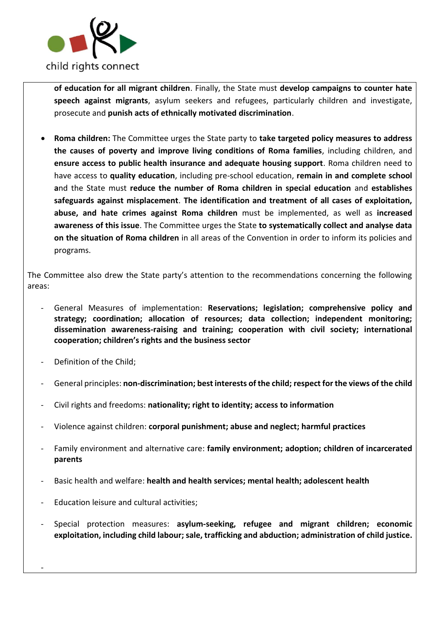

**of education for all migrant children**. Finally, the State must **develop campaigns to counter hate speech against migrants**, asylum seekers and refugees, particularly children and investigate, prosecute and **punish acts of ethnically motivated discrimination**.

• **Roma children:** The Committee urges the State party to **take targeted policy measures to address the causes of poverty and improve living conditions of Roma families**, including children, and **ensure access to public health insurance and adequate housing support**. Roma children need to have access to **quality education**, including pre-school education, **remain in and complete school a**nd the State must **reduce the number of Roma children in special education** and **establishes safeguards against misplacement**. **The identification and treatment of all cases of exploitation, abuse, and hate crimes against Roma children** must be implemented, as well as **increased awareness of this issue**. The Committee urges the State **to systematically collect and analyse data on the situation of Roma children** in all areas of the Convention in order to inform its policies and programs.

The Committee also drew the State party's attention to the recommendations concerning the following areas:

- General Measures of implementation: **Reservations; legislation; comprehensive policy and strategy; coordination; allocation of resources; data collection; independent monitoring; dissemination awareness-raising and training; cooperation with civil society; international cooperation; children's rights and the business sector**
- Definition of the Child:

-

- General principles: **non-discrimination; best interests of the child; respect for the views of the child**
- Civil rights and freedoms: **nationality; right to identity; access to information**
- Violence against children: **corporal punishment; abuse and neglect; harmful practices**
- Family environment and alternative care: **family environment; adoption; children of incarcerated parents**
- Basic health and welfare: **health and health services; mental health; adolescent health**
- Education leisure and cultural activities;
- Special protection measures: **asylum-seeking, refugee and migrant children; economic exploitation, including child labour; sale, trafficking and abduction; administration of child justice.**